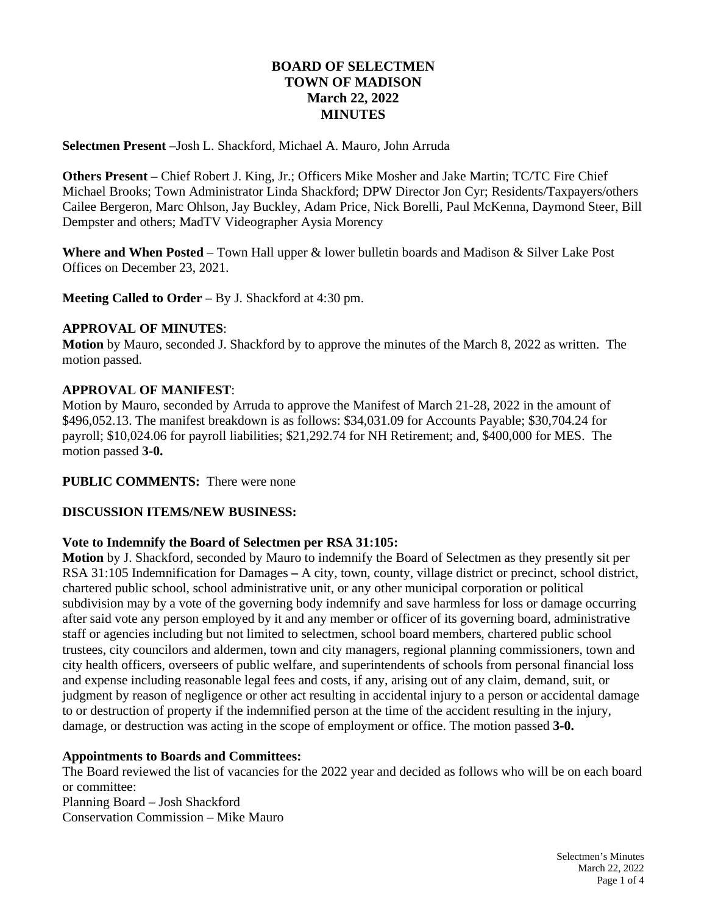# **BOARD OF SELECTMEN TOWN OF MADISON March 22, 2022 MINUTES**

**Selectmen Present** –Josh L. Shackford, Michael A. Mauro, John Arruda

**Others Present –** Chief Robert J. King, Jr.; Officers Mike Mosher and Jake Martin; TC/TC Fire Chief Michael Brooks; Town Administrator Linda Shackford; DPW Director Jon Cyr; Residents/Taxpayers/others Cailee Bergeron, Marc Ohlson, Jay Buckley, Adam Price, Nick Borelli, Paul McKenna, Daymond Steer, Bill Dempster and others; MadTV Videographer Aysia Morency

**Where and When Posted** – Town Hall upper & lower bulletin boards and Madison & Silver Lake Post Offices on December 23, 2021.

**Meeting Called to Order** – By J. Shackford at 4:30 pm.

### **APPROVAL OF MINUTES**:

**Motion** by Mauro, seconded J. Shackford by to approve the minutes of the March 8, 2022 as written. The motion passed.

### **APPROVAL OF MANIFEST**:

Motion by Mauro, seconded by Arruda to approve the Manifest of March 21-28, 2022 in the amount of \$496,052.13. The manifest breakdown is as follows: \$34,031.09 for Accounts Payable; \$30,704.24 for payroll; \$10,024.06 for payroll liabilities; \$21,292.74 for NH Retirement; and, \$400,000 for MES. The motion passed **3-0.**

### **PUBLIC COMMENTS:** There were none

### **DISCUSSION ITEMS/NEW BUSINESS:**

### **Vote to Indemnify the Board of Selectmen per RSA 31:105:**

**Motion** by J. Shackford, seconded by Mauro to indemnify the Board of Selectmen as they presently sit per RSA 31:105 Indemnification for Damages **–** A city, town, county, village district or precinct, school district, chartered public school, school administrative unit, or any other municipal corporation or political subdivision may by a vote of the governing body indemnify and save harmless for loss or damage occurring after said vote any person employed by it and any member or officer of its governing board, administrative staff or agencies including but not limited to selectmen, school board members, chartered public school trustees, city councilors and aldermen, town and city managers, regional planning commissioners, town and city health officers, overseers of public welfare, and superintendents of schools from personal financial loss and expense including reasonable legal fees and costs, if any, arising out of any claim, demand, suit, or judgment by reason of negligence or other act resulting in accidental injury to a person or accidental damage to or destruction of property if the indemnified person at the time of the accident resulting in the injury, damage, or destruction was acting in the scope of employment or office. The motion passed **3-0.**

### **Appointments to Boards and Committees:**

The Board reviewed the list of vacancies for the 2022 year and decided as follows who will be on each board or committee:

Planning Board – Josh Shackford Conservation Commission – Mike Mauro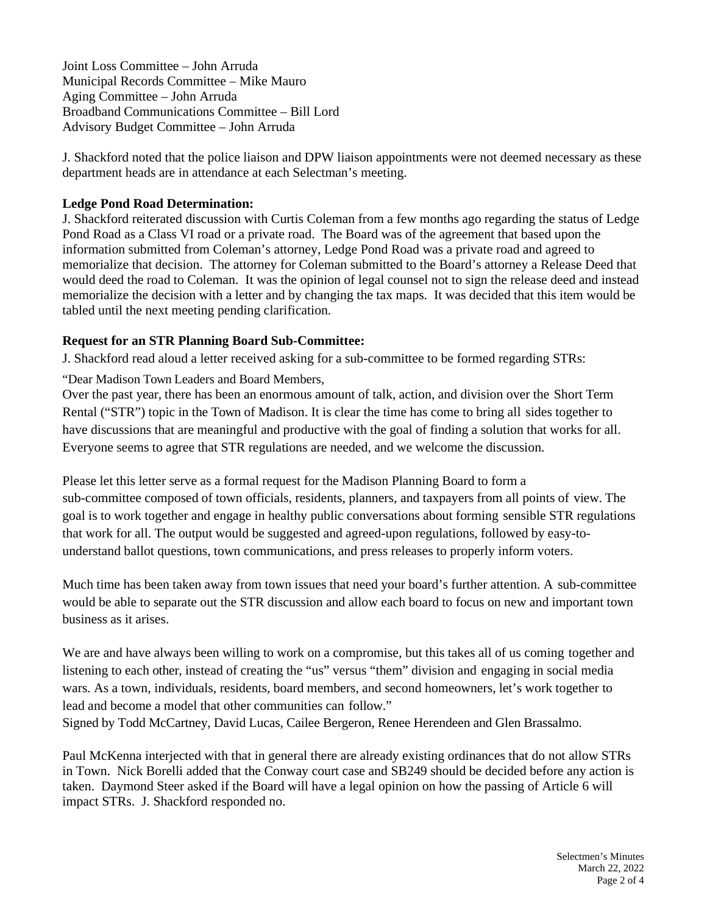Joint Loss Committee – John Arruda Municipal Records Committee – Mike Mauro Aging Committee – John Arruda Broadband Communications Committee – Bill Lord Advisory Budget Committee – John Arruda

J. Shackford noted that the police liaison and DPW liaison appointments were not deemed necessary as these department heads are in attendance at each Selectman's meeting.

## **Ledge Pond Road Determination:**

J. Shackford reiterated discussion with Curtis Coleman from a few months ago regarding the status of Ledge Pond Road as a Class VI road or a private road. The Board was of the agreement that based upon the information submitted from Coleman's attorney, Ledge Pond Road was a private road and agreed to memorialize that decision. The attorney for Coleman submitted to the Board's attorney a Release Deed that would deed the road to Coleman. It was the opinion of legal counsel not to sign the release deed and instead memorialize the decision with a letter and by changing the tax maps. It was decided that this item would be tabled until the next meeting pending clarification.

# **Request for an STR Planning Board Sub-Committee:**

J. Shackford read aloud a letter received asking for a sub-committee to be formed regarding STRs:

"Dear Madison Town Leaders and Board Members,

Over the past year, there has been an enormous amount of talk, action, and division over the Short Term Rental ("STR") topic in the Town of Madison. It is clear the time has come to bring all sides together to have discussions that are meaningful and productive with the goal of finding a solution that works for all. Everyone seems to agree that STR regulations are needed, and we welcome the discussion.

Please let this letter serve as a formal request for the Madison Planning Board to form a sub-committee composed of town officials, residents, planners, and taxpayers from all points of view. The goal is to work together and engage in healthy public conversations about forming sensible STR regulations that work for all. The output would be suggested and agreed-upon regulations, followed by easy-tounderstand ballot questions, town communications, and press releases to properly inform voters.

Much time has been taken away from town issues that need your board's further attention. A sub-committee would be able to separate out the STR discussion and allow each board to focus on new and important town business as it arises.

We are and have always been willing to work on a compromise, but this takes all of us coming together and listening to each other, instead of creating the "us" versus "them" division and engaging in social media wars. As a town, individuals, residents, board members, and second homeowners, let's work together to lead and become a model that other communities can follow."

Signed by Todd McCartney, David Lucas, Cailee Bergeron, Renee Herendeen and Glen Brassalmo.

Paul McKenna interjected with that in general there are already existing ordinances that do not allow STRs in Town. Nick Borelli added that the Conway court case and SB249 should be decided before any action is taken. Daymond Steer asked if the Board will have a legal opinion on how the passing of Article 6 will impact STRs. J. Shackford responded no.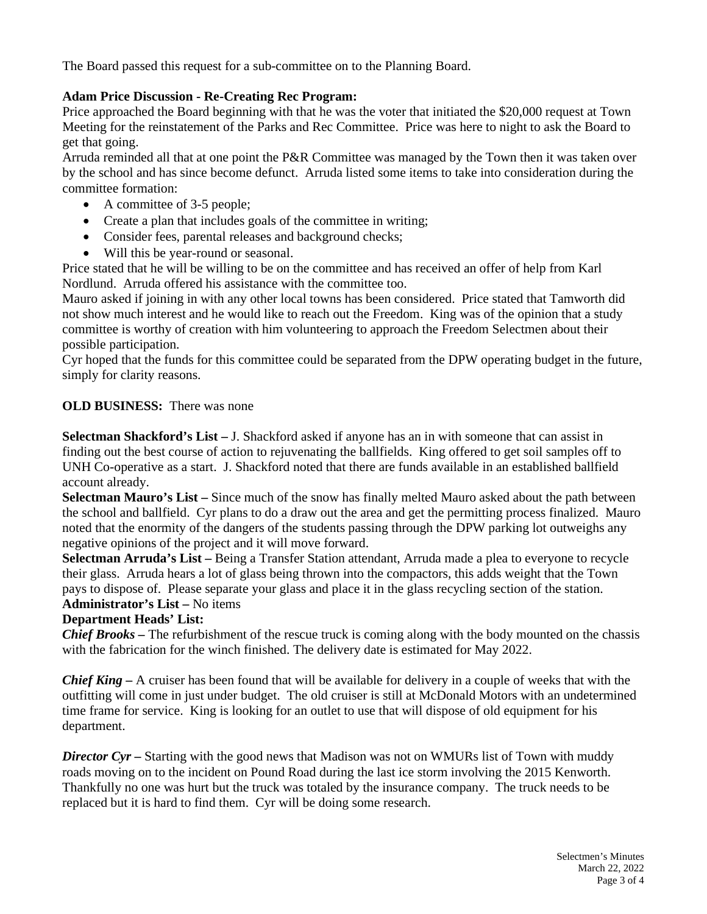The Board passed this request for a sub-committee on to the Planning Board.

## **Adam Price Discussion - Re-Creating Rec Program:**

Price approached the Board beginning with that he was the voter that initiated the \$20,000 request at Town Meeting for the reinstatement of the Parks and Rec Committee. Price was here to night to ask the Board to get that going.

Arruda reminded all that at one point the P&R Committee was managed by the Town then it was taken over by the school and has since become defunct. Arruda listed some items to take into consideration during the committee formation:

- A committee of 3-5 people;
- Create a plan that includes goals of the committee in writing;
- Consider fees, parental releases and background checks;
- Will this be year-round or seasonal.

Price stated that he will be willing to be on the committee and has received an offer of help from Karl Nordlund. Arruda offered his assistance with the committee too.

Mauro asked if joining in with any other local towns has been considered. Price stated that Tamworth did not show much interest and he would like to reach out the Freedom. King was of the opinion that a study committee is worthy of creation with him volunteering to approach the Freedom Selectmen about their possible participation.

Cyr hoped that the funds for this committee could be separated from the DPW operating budget in the future, simply for clarity reasons.

# **OLD BUSINESS:** There was none

**Selectman Shackford's List –** J. Shackford asked if anyone has an in with someone that can assist in finding out the best course of action to rejuvenating the ballfields. King offered to get soil samples off to UNH Co-operative as a start. J. Shackford noted that there are funds available in an established ballfield account already.

**Selectman Mauro's List –** Since much of the snow has finally melted Mauro asked about the path between the school and ballfield. Cyr plans to do a draw out the area and get the permitting process finalized. Mauro noted that the enormity of the dangers of the students passing through the DPW parking lot outweighs any negative opinions of the project and it will move forward.

**Selectman Arruda's List –** Being a Transfer Station attendant, Arruda made a plea to everyone to recycle their glass. Arruda hears a lot of glass being thrown into the compactors, this adds weight that the Town pays to dispose of. Please separate your glass and place it in the glass recycling section of the station. **Administrator's List –** No items

## **Department Heads' List:**

*Chief Brooks –* The refurbishment of the rescue truck is coming along with the body mounted on the chassis with the fabrication for the winch finished. The delivery date is estimated for May 2022.

*Chief King –* A cruiser has been found that will be available for delivery in a couple of weeks that with the outfitting will come in just under budget. The old cruiser is still at McDonald Motors with an undetermined time frame for service. King is looking for an outlet to use that will dispose of old equipment for his department.

*Director Cyr –* Starting with the good news that Madison was not on WMURs list of Town with muddy roads moving on to the incident on Pound Road during the last ice storm involving the 2015 Kenworth. Thankfully no one was hurt but the truck was totaled by the insurance company. The truck needs to be replaced but it is hard to find them. Cyr will be doing some research.